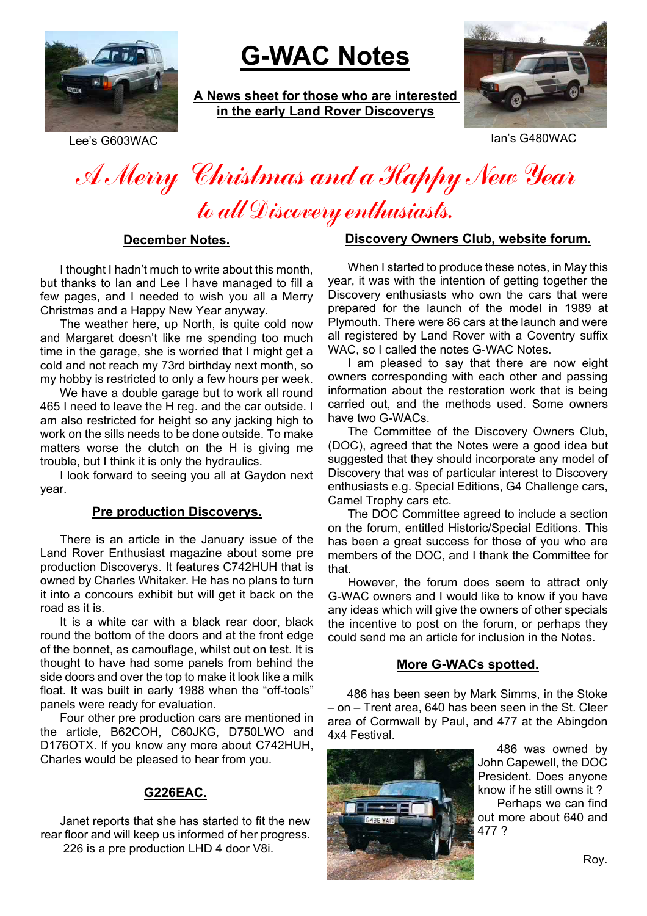

# **G-WAC Notes**

**A News sheet for those who are interested in the early Land Rover Discoverys**



Lee's G603WAC Ian's G480WAC

# A Merry Christmas and a Happy New Year to all Discovery enthusiasts.

#### **December Notes.**

I thought I hadn't much to write about this month, but thanks to Ian and Lee I have managed to fill a few pages, and I needed to wish you all a Merry Christmas and a Happy New Year anyway.

The weather here, up North, is quite cold now and Margaret doesn't like me spending too much time in the garage, she is worried that I might get a cold and not reach my 73rd birthday next month, so my hobby is restricted to only a few hours per week.

We have a double garage but to work all round 465 I need to leave the H reg. and the car outside. I am also restricted for height so any jacking high to work on the sills needs to be done outside. To make matters worse the clutch on the H is giving me trouble, but I think it is only the hydraulics.

I look forward to seeing you all at Gaydon next year.

## **Pre production Discoverys.**

There is an article in the January issue of the Land Rover Enthusiast magazine about some pre production Discoverys. It features C742HUH that is owned by Charles Whitaker. He has no plans to turn it into a concours exhibit but will get it back on the road as it is.

It is a white car with a black rear door, black round the bottom of the doors and at the front edge of the bonnet, as camouflage, whilst out on test. It is thought to have had some panels from behind the side doors and over the top to make it look like a milk float. It was built in early 1988 when the "off-tools" panels were ready for evaluation.

Four other pre production cars are mentioned in the article, B62COH, C60JKG, D750LWO and D176OTX. If you know any more about C742HUH, Charles would be pleased to hear from you.

# **G226EAC.**

Janet reports that she has started to fit the new rear floor and will keep us informed of her progress. 226 is a pre production LHD 4 door V8i.

## **Discovery Owners Club, website forum.**

When I started to produce these notes, in May this year, it was with the intention of getting together the Discovery enthusiasts who own the cars that were prepared for the launch of the model in 1989 at Plymouth. There were 86 cars at the launch and were all registered by Land Rover with a Coventry suffix WAC, so I called the notes G-WAC Notes.

I am pleased to say that there are now eight owners corresponding with each other and passing information about the restoration work that is being carried out, and the methods used. Some owners have two G-WACs.

The Committee of the Discovery Owners Club, (DOC), agreed that the Notes were a good idea but suggested that they should incorporate any model of Discovery that was of particular interest to Discovery enthusiasts e.g. Special Editions, G4 Challenge cars, Camel Trophy cars etc.

The DOC Committee agreed to include a section on the forum, entitled Historic/Special Editions. This has been a great success for those of you who are members of the DOC, and I thank the Committee for that.

However, the forum does seem to attract only G-WAC owners and I would like to know if you have any ideas which will give the owners of other specials the incentive to post on the forum, or perhaps they could send me an article for inclusion in the Notes.

# **More G-WACs spotted.**

486 has been seen by Mark Simms, in the Stoke – on – Trent area, 640 has been seen in the St. Cleer area of Cormwall by Paul, and 477 at the Abingdon 4x4 Festival.



486 was owned by John Capewell, the DOC President. Does anyone know if he still owns it ? Perhaps we can find out more about 640 and 477 ?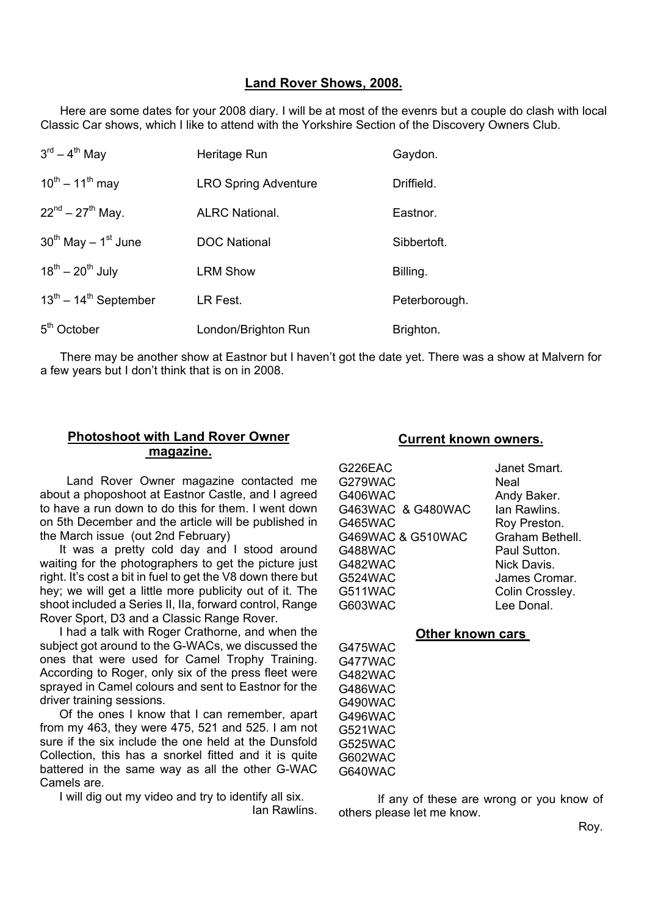#### **Land Rover Shows, 2008.**

Here are some dates for your 2008 diary. I will be at most of the evenrs but a couple do clash with local Classic Car shows, which I like to attend with the Yorkshire Section of the Discovery Owners Club.

| $3^{\text{rd}} - 4^{\text{th}}$ May | Heritage Run                | Gaydon.       |
|-------------------------------------|-----------------------------|---------------|
| $10^{th} - 11^{th}$ may             | <b>LRO Spring Adventure</b> | Driffield.    |
| $22^{nd} - 27^{th}$ May.            | <b>ALRC National.</b>       | Eastnor.      |
| $30^{th}$ May $-1^{st}$ June        | <b>DOC National</b>         | Sibbertoft.   |
| $18^{th} - 20^{th}$ July            | <b>LRM Show</b>             | Billing.      |
| $13^{th}$ – $14^{th}$ September     | LR Fest.                    | Peterborough. |
| 5 <sup>th</sup> October             | London/Brighton Run         | Brighton.     |

There may be another show at Eastnor but I haven't got the date yet. There was a show at Malvern for a few years but I don't think that is on in 2008.

# **Photoshoot with Land Rover Owner magazine.**

 Land Rover Owner magazine contacted me about a phoposhoot at Eastnor Castle, and I agreed to have a run down to do this for them. I went down on 5th December and the article will be published in the March issue (out 2nd February)

It was a pretty cold day and I stood around waiting for the photographers to get the picture just right. It's cost a bit in fuel to get the V8 down there but hey; we will get a little more publicity out of it. The shoot included a Series II, IIa, forward control, Range Rover Sport, D3 and a Classic Range Rover.

I had a talk with Roger Crathorne, and when the subject got around to the G-WACs, we discussed the ones that were used for Camel Trophy Training. According to Roger, only six of the press fleet were sprayed in Camel colours and sent to Eastnor for the driver training sessions.

Of the ones I know that I can remember, apart from my 463, they were 475, 521 and 525. I am not sure if the six include the one held at the Dunsfold Collection, this has a snorkel fitted and it is quite battered in the same way as all the other G-WAC Camels are.

I will dig out my video and try to identify all six.

Ian Rawlins.

#### **Current known owners.**

G226EAC Janet Smart. G279WAC Neal G406WAC Andy Baker. G463WAC & G480WAC Ian Rawlins. G465WAC Roy Preston. G469WAC & G510WAC Graham Bethell. G488WAC Paul Sutton. G482WAC Nick Davis. G524WAC James Cromar. G511WAC Colin Crossley. G603WAC Lee Donal

#### **Other known cars**

G475WAC G477WAC G482WAC G486WAC G490WAC G496WAC G521WAC G525WAC G602WAC G640WAC

If any of these are wrong or you know of others please let me know.